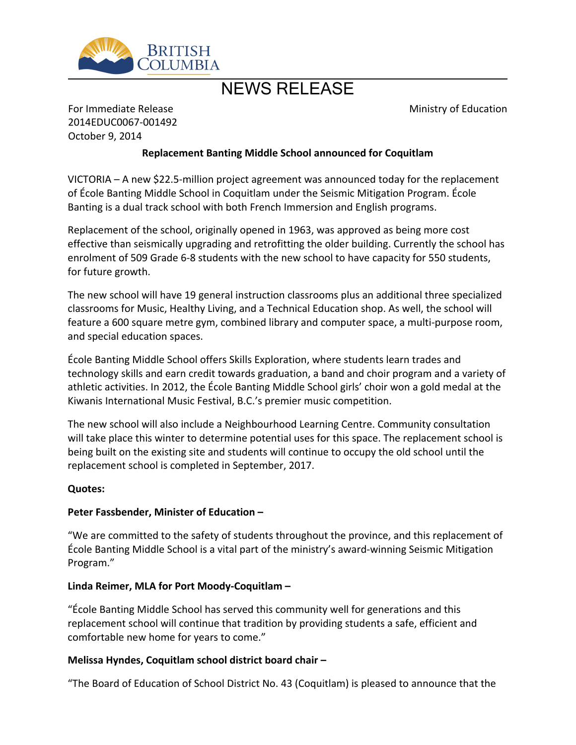

# NEWS RELEASE

Ministry of Education

For Immediate Release 2014EDUC0067-001492 October 9, 2014

### **Replacement Banting Middle School announced for Coquitlam**

VICTORIA – A new \$22.5-million project agreement was announced today for the replacement of École Banting Middle School in Coquitlam under the Seismic Mitigation Program. École Banting is a dual track school with both French Immersion and English programs.

Replacement of the school, originally opened in 1963, was approved as being more cost effective than seismically upgrading and retrofitting the older building. Currently the school has enrolment of 509 Grade 6-8 students with the new school to have capacity for 550 students, for future growth.

The new school will have 19 general instruction classrooms plus an additional three specialized classrooms for Music, Healthy Living, and a Technical Education shop. As well, the school will feature a 600 square metre gym, combined library and computer space, a multi-purpose room, and special education spaces.

École Banting Middle School offers Skills Exploration, where students learn trades and technology skills and earn credit towards graduation, a band and choir program and a variety of athletic activities. In 2012, the École Banting Middle School girls' choir won a gold medal at the Kiwanis International Music Festival, B.C.'s premier music competition.

The new school will also include a Neighbourhood Learning Centre. Community consultation will take place this winter to determine potential uses for this space. The replacement school is being built on the existing site and students will continue to occupy the old school until the replacement school is completed in September, 2017.

#### **Quotes:**

#### **Peter Fassbender, Minister of Education –**

"We are committed to the safety of students throughout the province, and this replacement of École Banting Middle School is a vital part of the ministry's award-winning Seismic Mitigation Program."

#### **Linda Reimer, MLA for Port Moody-Coquitlam –**

"École Banting Middle School has served this community well for generations and this replacement school will continue that tradition by providing students a safe, efficient and comfortable new home for years to come."

#### **Melissa Hyndes, Coquitlam school district board chair –**

"The Board of Education of School District No. 43 (Coquitlam) is pleased to announce that the